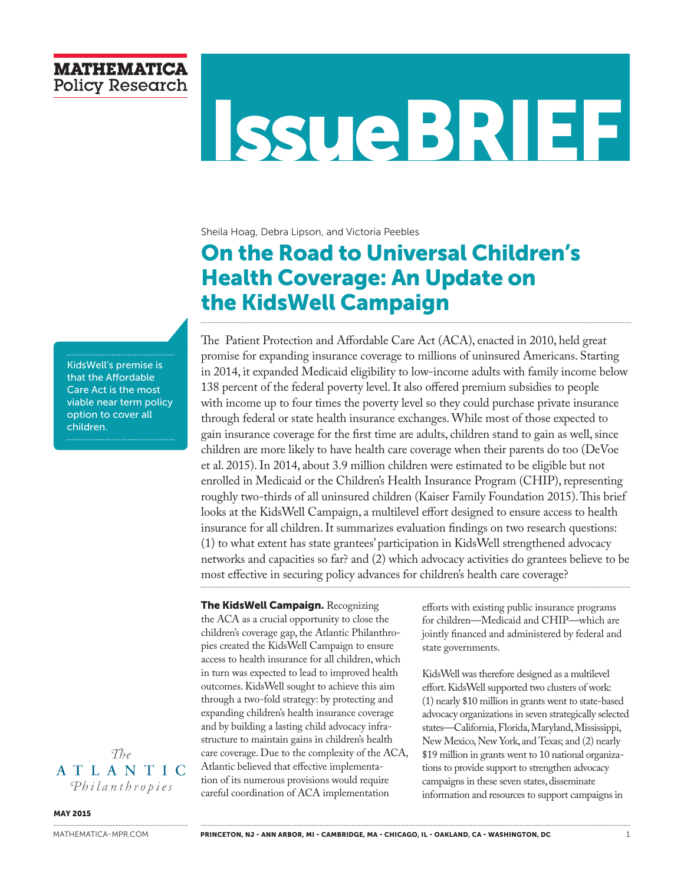# **MATHEMATICA Policy Research**

# IssueBRIEF

Sheila Hoag, Debra Lipson, and Victoria Peebles

# On the Road to Universal Children's Health Coverage: An Update on the KidsWell Campaign

KidsWell's premise is that the Affordable Care Act is the most viable near term policy option to cover all children.

The Patient Protection and Affordable Care Act (ACA), enacted in 2010, held great promise for expanding insurance coverage to millions of uninsured Americans. Starting in 2014, it expanded Medicaid eligibility to low-income adults with family income below 138 percent of the federal poverty level. It also offered premium subsidies to people with income up to four times the poverty level so they could purchase private insurance through federal or state health insurance exchanges. While most of those expected to gain insurance coverage for the first time are adults, children stand to gain as well, since children are more likely to have health care coverage when their parents do too (DeVoe et al. 2015). In 2014, about 3.9 million children were estimated to be eligible but not enrolled in Medicaid or the Children's Health Insurance Program (CHIP), representing roughly two-thirds of all uninsured children (Kaiser Family Foundation 2015). This brief looks at the KidsWell Campaign, a multilevel effort designed to ensure access to health insurance for all children. It summarizes evaluation findings on two research questions: (1) to what extent has state grantees' participation in KidsWell strengthened advocacy networks and capacities so far? and (2) which advocacy activities do grantees believe to be most effective in securing policy advances for children's health care coverage?

**The KidsWell Campaign.** Recognizing the ACA as a crucial opportunity to close the children's coverage gap, the Atlantic Philanthropies created the KidsWell Campaign to ensure access to health insurance for all children, which in turn was expected to lead to improved health outcomes. KidsWell sought to achieve this aim through a two-fold strategy: by protecting and expanding children's health insurance coverage and by building a lasting child advocacy infrastructure to maintain gains in children's health care coverage. Due to the complexity of the ACA, Atlantic believed that effective implementation of its numerous provisions would require careful coordination of ACA implementation

efforts with existing public insurance programs for children—Medicaid and CHIP—which are jointly financed and administered by federal and state governments.

KidsWell was therefore designed as a multilevel effort. KidsWell supported two clusters of work: (1) nearly \$10 million in grants went to state-based advocacy organizations in seven strategically selected states—California, Florida, Maryland, Mississippi, New Mexico, New York, and Texas; and (2) nearly \$19 million in grants went to 10 national organizations to provide support to strengthen advocacy campaigns in these seven states, disseminate information and resources to support campaigns in

 $The$ ATLANTIC Philanthropies

MAY 2015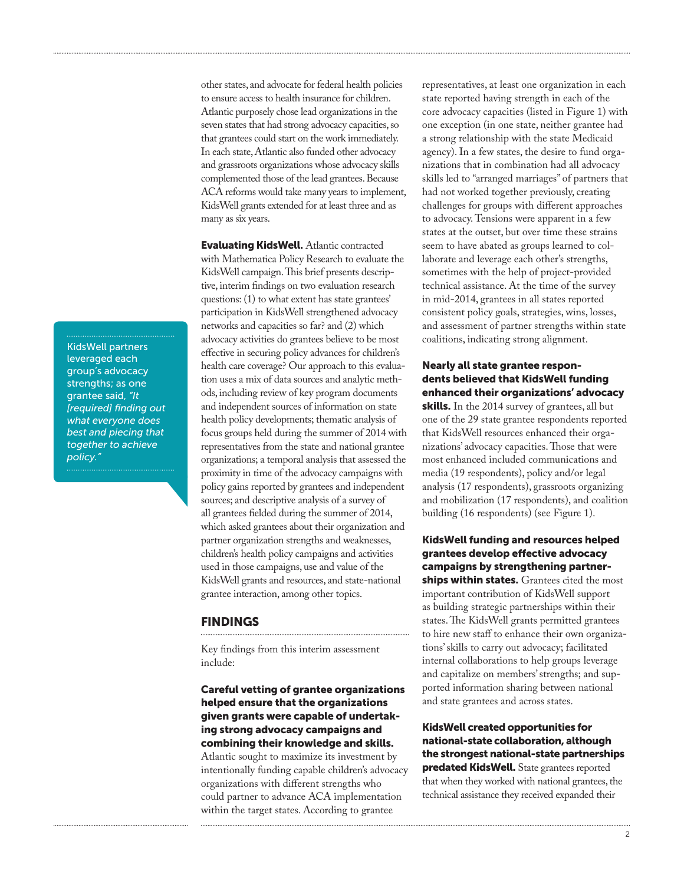other states, and advocate for federal health policies to ensure access to health insurance for children. Atlantic purposely chose lead organizations in the seven states that had strong advocacy capacities, so that grantees could start on the work immediately. In each state, Atlantic also funded other advocacy and grassroots organizations whose advocacy skills complemented those of the lead grantees. Because ACA reforms would take many years to implement, KidsWell grants extended for at least three and as many as six years.

Evaluating KidsWell. Atlantic contracted with Mathematica Policy Research to evaluate the KidsWell campaign. This brief presents descriptive, interim findings on two evaluation research questions: (1) to what extent has state grantees' participation in KidsWell strengthened advocacy networks and capacities so far? and (2) which advocacy activities do grantees believe to be most effective in securing policy advances for children's health care coverage? Our approach to this evaluation uses a mix of data sources and analytic methods, including review of key program documents and independent sources of information on state health policy developments; thematic analysis of focus groups held during the summer of 2014 with representatives from the state and national grantee organizations; a temporal analysis that assessed the proximity in time of the advocacy campaigns with policy gains reported by grantees and independent sources; and descriptive analysis of a survey of all grantees fielded during the summer of 2014, which asked grantees about their organization and partner organization strengths and weaknesses, children's health policy campaigns and activities used in those campaigns, use and value of the KidsWell grants and resources, and state-national grantee interaction, among other topics.

#### FINDINGS

Key findings from this interim assessment include:

#### Careful vetting of grantee organizations helped ensure that the organizations given grants were capable of undertaking strong advocacy campaigns and combining their knowledge and skills.

Atlantic sought to maximize its investment by intentionally funding capable children's advocacy organizations with different strengths who could partner to advance ACA implementation within the target states. According to grantee

representatives, at least one organization in each state reported having strength in each of the core advocacy capacities (listed in Figure 1) with one exception (in one state, neither grantee had a strong relationship with the state Medicaid agency). In a few states, the desire to fund organizations that in combination had all advocacy skills led to "arranged marriages" of partners that had not worked together previously, creating challenges for groups with different approaches to advocacy. Tensions were apparent in a few states at the outset, but over time these strains seem to have abated as groups learned to collaborate and leverage each other's strengths, sometimes with the help of project-provided technical assistance. At the time of the survey in mid-2014, grantees in all states reported consistent policy goals, strategies, wins, losses, and assessment of partner strengths within state coalitions, indicating strong alignment.

#### Nearly all state grantee respondents believed that KidsWell funding enhanced their organizations' advocacy

skills. In the 2014 survey of grantees, all but one of the 29 state grantee respondents reported that KidsWell resources enhanced their organizations' advocacy capacities. Those that were most enhanced included communications and media (19 respondents), policy and/or legal analysis (17 respondents), grassroots organizing and mobilization (17 respondents), and coalition building (16 respondents) (see Figure 1).

#### KidsWell funding and resources helped grantees develop effective advocacy campaigns by strengthening partner-

ships within states. Grantees cited the most important contribution of KidsWell support as building strategic partnerships within their states. The KidsWell grants permitted grantees to hire new staff to enhance their own organizations' skills to carry out advocacy; facilitated internal collaborations to help groups leverage and capitalize on members' strengths; and supported information sharing between national and state grantees and across states.

KidsWell created opportunities for national-state collaboration, although the strongest national-state partnerships predated KidsWell. State grantees reported that when they worked with national grantees, the technical assistance they received expanded their

KidsWell partners leveraged each group's advocacy strengths; as one grantee said, *"It [required] finding out what everyone does best and piecing that together to achieve policy."*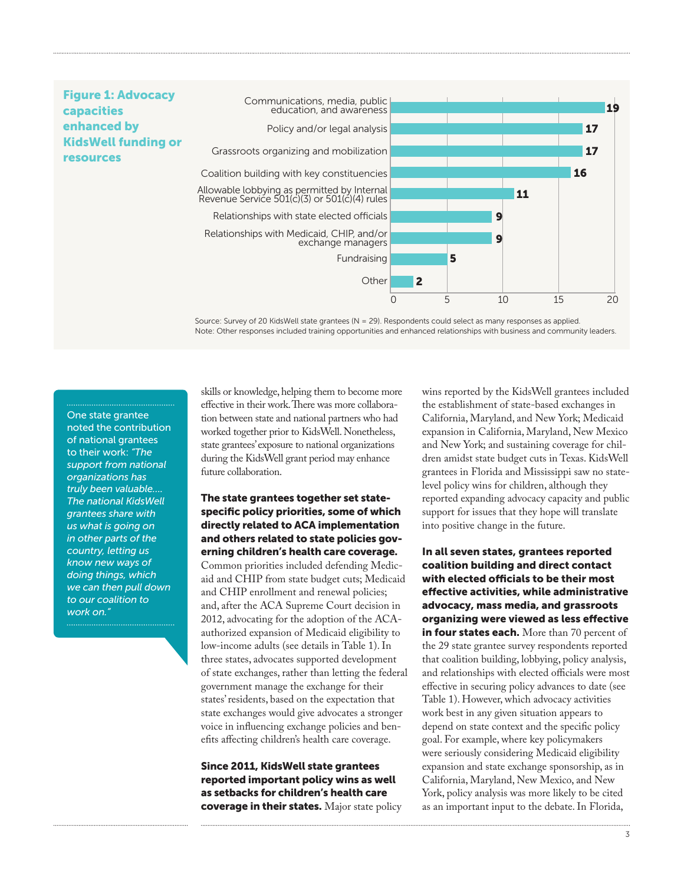Figure 1: Advocacy capacities enhanced by KidsWell funding or resources



Source: Survey of 20 KidsWell state grantees (N = 29). Respondents could select as many responses as applied. Note: Other responses included training opportunities and enhanced relationships with business and community leaders.

#### One state grantee noted the contribution of national grantees to their work: *"The support from national organizations has truly been valuable…. The national KidsWell grantees share with us what is going on in other parts of the country, letting us know new ways of doing things, which we can then pull down to our coalition to work on."*

skills or knowledge, helping them to become more effective in their work. There was more collaboration between state and national partners who had worked together prior to KidsWell. Nonetheless, state grantees' exposure to national organizations during the KidsWell grant period may enhance future collaboration.

The state grantees together set statespecific policy priorities, some of which directly related to ACA implementation and others related to state policies governing children's health care coverage. Common priorities included defending Medicaid and CHIP from state budget cuts; Medicaid and CHIP enrollment and renewal policies; and, after the ACA Supreme Court decision in 2012, advocating for the adoption of the ACAauthorized expansion of Medicaid eligibility to low-income adults (see details in Table 1). In three states, advocates supported development of state exchanges, rather than letting the federal government manage the exchange for their states' residents, based on the expectation that state exchanges would give advocates a stronger voice in influencing exchange policies and benefits affecting children's health care coverage.

Since 2011, KidsWell state grantees reported important policy wins as well as setbacks for children's health care **coverage in their states.** Major state policy wins reported by the KidsWell grantees included the establishment of state-based exchanges in California, Maryland, and New York; Medicaid expansion in California, Maryland, New Mexico and New York; and sustaining coverage for children amidst state budget cuts in Texas. KidsWell grantees in Florida and Mississippi saw no statelevel policy wins for children, although they reported expanding advocacy capacity and public support for issues that they hope will translate into positive change in the future.

In all seven states, grantees reported coalition building and direct contact with elected officials to be their most effective activities, while administrative advocacy, mass media, and grassroots organizing were viewed as less effective in four states each. More than 70 percent of the 29 state grantee survey respondents reported that coalition building, lobbying, policy analysis, and relationships with elected officials were most effective in securing policy advances to date (see Table 1). However, which advocacy activities work best in any given situation appears to depend on state context and the specific policy goal. For example, where key policymakers were seriously considering Medicaid eligibility expansion and state exchange sponsorship, as in California, Maryland, New Mexico, and New York, policy analysis was more likely to be cited as an important input to the debate. In Florida,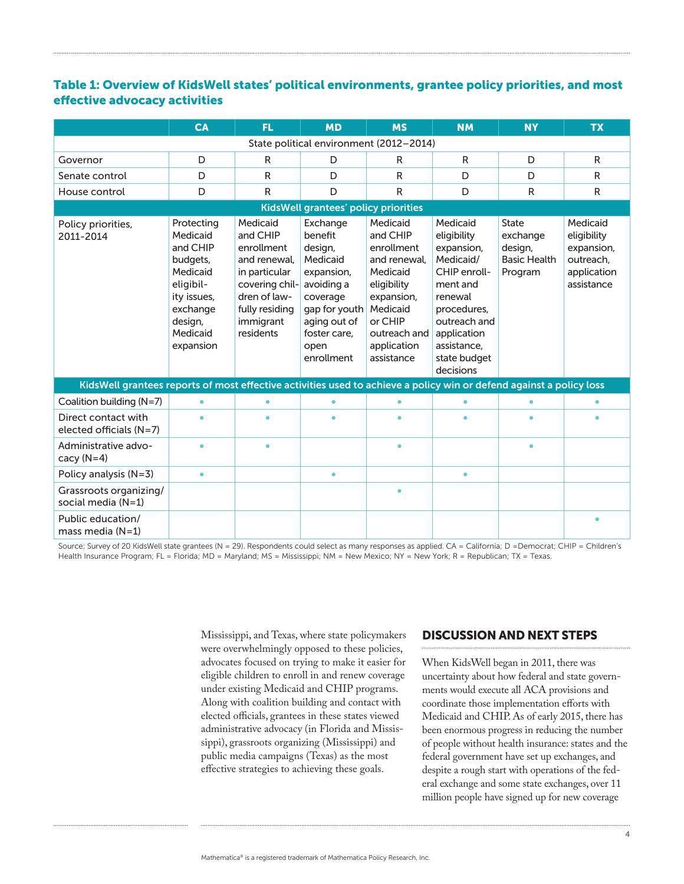### Table 1: Overview of KidsWell states' political environments, grantee policy priorities, and most effective advocacy activities

|                                                                                                                     | <b>CA</b>                                                                                                                              | <b>FL</b>                                                                                                                                         | <b>MD</b>                                                                                                                                                 | <b>MS</b>                                                                                                                                                       | <b>NM</b>                                                                                                                                                                           | <b>NY</b>                                                      | <b>TX</b>                                                                       |
|---------------------------------------------------------------------------------------------------------------------|----------------------------------------------------------------------------------------------------------------------------------------|---------------------------------------------------------------------------------------------------------------------------------------------------|-----------------------------------------------------------------------------------------------------------------------------------------------------------|-----------------------------------------------------------------------------------------------------------------------------------------------------------------|-------------------------------------------------------------------------------------------------------------------------------------------------------------------------------------|----------------------------------------------------------------|---------------------------------------------------------------------------------|
| State political environment (2012-2014)                                                                             |                                                                                                                                        |                                                                                                                                                   |                                                                                                                                                           |                                                                                                                                                                 |                                                                                                                                                                                     |                                                                |                                                                                 |
| Governor                                                                                                            | D                                                                                                                                      | R                                                                                                                                                 | D                                                                                                                                                         | R                                                                                                                                                               | $\mathsf{R}$                                                                                                                                                                        | D                                                              | R                                                                               |
| Senate control                                                                                                      | D                                                                                                                                      | R                                                                                                                                                 | D                                                                                                                                                         | $\mathsf{R}$                                                                                                                                                    | D                                                                                                                                                                                   | D                                                              | R                                                                               |
| House control                                                                                                       | D                                                                                                                                      | R                                                                                                                                                 | D                                                                                                                                                         | $\mathsf{R}$                                                                                                                                                    | D                                                                                                                                                                                   | R                                                              | R                                                                               |
| <b>KidsWell grantees' policy priorities</b>                                                                         |                                                                                                                                        |                                                                                                                                                   |                                                                                                                                                           |                                                                                                                                                                 |                                                                                                                                                                                     |                                                                |                                                                                 |
| Policy priorities,<br>2011-2014                                                                                     | Protecting<br>Medicaid<br>and CHIP<br>budgets,<br>Medicaid<br>eligibil-<br>ity issues,<br>exchange<br>design,<br>Medicaid<br>expansion | Medicaid<br>and CHIP<br>enrollment<br>and renewal.<br>in particular<br>covering chil-<br>dren of law-<br>fully residing<br>immigrant<br>residents | Exchange<br>benefit<br>design,<br>Medicaid<br>expansion,<br>avoiding a<br>coverage<br>gap for youth<br>aging out of<br>foster care,<br>open<br>enrollment | Medicaid<br>and CHIP<br>enrollment<br>and renewal.<br>Medicaid<br>eligibility<br>expansion,<br>Medicaid<br>or CHIP<br>outreach and<br>application<br>assistance | Medicaid<br>eligibility<br>expansion,<br>Medicaid/<br>CHIP enroll-<br>ment and<br>renewal<br>procedures,<br>outreach and<br>application<br>assistance,<br>state budget<br>decisions | State<br>exchange<br>design,<br><b>Basic Health</b><br>Program | Medicaid<br>eligibility<br>expansion,<br>outreach,<br>application<br>assistance |
| KidsWell grantees reports of most effective activities used to achieve a policy win or defend against a policy loss |                                                                                                                                        |                                                                                                                                                   |                                                                                                                                                           |                                                                                                                                                                 |                                                                                                                                                                                     |                                                                |                                                                                 |
| Coalition building (N=7)                                                                                            | $\bullet$                                                                                                                              | $\bullet$                                                                                                                                         | $\bullet$                                                                                                                                                 | $\bullet$                                                                                                                                                       | $\bullet$                                                                                                                                                                           | $\bullet$                                                      | ٠                                                                               |
| Direct contact with<br>elected officials (N=7)                                                                      | ۵                                                                                                                                      |                                                                                                                                                   | ٠                                                                                                                                                         |                                                                                                                                                                 | ٠                                                                                                                                                                                   |                                                                | ٠                                                                               |
| Administrative advo-<br>cacy $(N=4)$                                                                                | ٠                                                                                                                                      | ٠                                                                                                                                                 |                                                                                                                                                           | ٠                                                                                                                                                               |                                                                                                                                                                                     | $\bullet$                                                      |                                                                                 |
| Policy analysis (N=3)                                                                                               | $\bullet$                                                                                                                              |                                                                                                                                                   | $\bullet$                                                                                                                                                 |                                                                                                                                                                 | $\bullet$                                                                                                                                                                           |                                                                |                                                                                 |
| Grassroots organizing/<br>social media (N=1)                                                                        |                                                                                                                                        |                                                                                                                                                   |                                                                                                                                                           |                                                                                                                                                                 |                                                                                                                                                                                     |                                                                |                                                                                 |
| Public education/<br>mass media $(N=1)$                                                                             |                                                                                                                                        |                                                                                                                                                   |                                                                                                                                                           |                                                                                                                                                                 |                                                                                                                                                                                     |                                                                |                                                                                 |

Source: Survey of 20 KidsWell state grantees (N = 29). Respondents could select as many responses as applied. CA = California; D = Democrat; CHIP = Children's Health Insurance Program; FL = Florida; MD = Maryland; MS = Mississippi; NM = New Mexico; NY = New York; R = Republican; TX = Texas.

> Mississippi, and Texas, where state policymakers were overwhelmingly opposed to these policies, advocates focused on trying to make it easier for eligible children to enroll in and renew coverage under existing Medicaid and CHIP programs. Along with coalition building and contact with elected officials, grantees in these states viewed administrative advocacy (in Florida and Mississippi), grassroots organizing (Mississippi) and public media campaigns (Texas) as the most effective strategies to achieving these goals.

#### DISCUSSION AND NEXT STEPS

When KidsWell began in 2011, there was uncertainty about how federal and state governments would execute all ACA provisions and coordinate those implementation efforts with Medicaid and CHIP. As of early 2015, there has been enormous progress in reducing the number of people without health insurance: states and the federal government have set up exchanges, and despite a rough start with operations of the federal exchange and some state exchanges, over 11 million people have signed up for new coverage